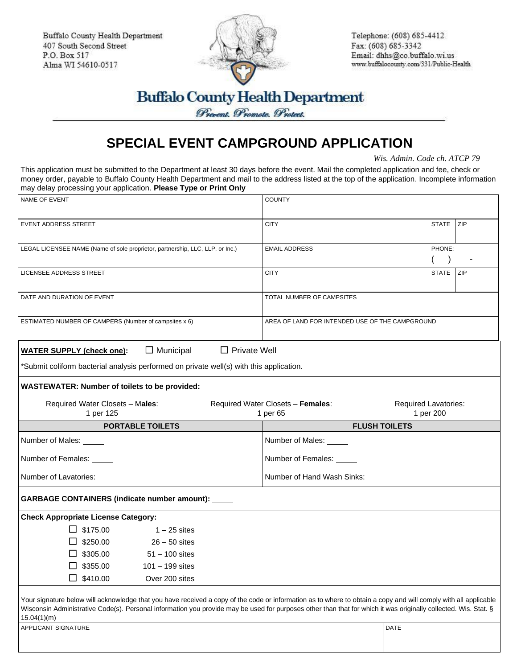Buffalo County Health Department 407 South Second Street P.O. Box 517 Alma WI 54610-0517



Telephone: (608) 685-4412 Fax: (608) 685-3342 Email: dhhs@co.buffalo.wi.us www.buffalocounty.com/331/Public-Health

## **Buffalo County Health Department**

Prevent. Promote. Protect.

## **SPECIAL EVENT CAMPGROUND APPLICATION**

*Wis. Admin. Code ch. ATCP 79*

This application must be submitted to the Department at least 30 days before the event. Mail the completed application and fee, check or money order, payable to Buffalo County Health Department and mail to the address listed at the top of the application. Incomplete information may delay processing your application. **Please Type or Print Only**

| NAME OF EVENT                                                                           |                                                                                                                                                                                                                                                                                                                                    | <b>COUNTY</b>                                   |                             |  |  |
|-----------------------------------------------------------------------------------------|------------------------------------------------------------------------------------------------------------------------------------------------------------------------------------------------------------------------------------------------------------------------------------------------------------------------------------|-------------------------------------------------|-----------------------------|--|--|
|                                                                                         |                                                                                                                                                                                                                                                                                                                                    |                                                 |                             |  |  |
| <b>EVENT ADDRESS STREET</b>                                                             |                                                                                                                                                                                                                                                                                                                                    | <b>CITY</b>                                     | <b>STATE</b><br><b>ZIP</b>  |  |  |
|                                                                                         |                                                                                                                                                                                                                                                                                                                                    |                                                 |                             |  |  |
|                                                                                         | LEGAL LICENSEE NAME (Name of sole proprietor, partnership, LLC, LLP, or Inc.)                                                                                                                                                                                                                                                      | <b>EMAIL ADDRESS</b>                            | PHONE:                      |  |  |
|                                                                                         |                                                                                                                                                                                                                                                                                                                                    |                                                 |                             |  |  |
| <b>LICENSEE ADDRESS STREET</b>                                                          |                                                                                                                                                                                                                                                                                                                                    | <b>CITY</b>                                     | STATE ZIP                   |  |  |
| DATE AND DURATION OF EVENT                                                              |                                                                                                                                                                                                                                                                                                                                    | TOTAL NUMBER OF CAMPSITES                       |                             |  |  |
| ESTIMATED NUMBER OF CAMPERS (Number of campsites x 6)                                   |                                                                                                                                                                                                                                                                                                                                    | AREA OF LAND FOR INTENDED USE OF THE CAMPGROUND |                             |  |  |
|                                                                                         | $\Box$ Private Well                                                                                                                                                                                                                                                                                                                |                                                 |                             |  |  |
| <b>WATER SUPPLY (check one):</b>                                                        | $\Box$ Municipal                                                                                                                                                                                                                                                                                                                   |                                                 |                             |  |  |
| *Submit coliform bacterial analysis performed on private well(s) with this application. |                                                                                                                                                                                                                                                                                                                                    |                                                 |                             |  |  |
| <b>WASTEWATER: Number of toilets to be provided:</b>                                    |                                                                                                                                                                                                                                                                                                                                    |                                                 |                             |  |  |
| Required Water Closets - Males:                                                         |                                                                                                                                                                                                                                                                                                                                    | Required Water Closets - Females:               | <b>Required Lavatories:</b> |  |  |
| 1 per 125                                                                               |                                                                                                                                                                                                                                                                                                                                    | 1 per 65                                        | 1 per 200                   |  |  |
|                                                                                         |                                                                                                                                                                                                                                                                                                                                    |                                                 |                             |  |  |
|                                                                                         | <b>PORTABLE TOILETS</b>                                                                                                                                                                                                                                                                                                            | <b>FLUSH TOILETS</b>                            |                             |  |  |
| Number of Males:                                                                        |                                                                                                                                                                                                                                                                                                                                    | Number of Males:                                |                             |  |  |
| Number of Females: _____                                                                |                                                                                                                                                                                                                                                                                                                                    | Number of Females: _____                        |                             |  |  |
| Number of Lavatories: _____                                                             |                                                                                                                                                                                                                                                                                                                                    | Number of Hand Wash Sinks: _____                |                             |  |  |
| GARBAGE CONTAINERS (indicate number amount): _____                                      |                                                                                                                                                                                                                                                                                                                                    |                                                 |                             |  |  |
| <b>Check Appropriate License Category:</b>                                              |                                                                                                                                                                                                                                                                                                                                    |                                                 |                             |  |  |
| $\Box$ \$175.00                                                                         | $1 - 25$ sites                                                                                                                                                                                                                                                                                                                     |                                                 |                             |  |  |
| $\Box$ \$250.00                                                                         | $26 - 50$ sites                                                                                                                                                                                                                                                                                                                    |                                                 |                             |  |  |
| $\Box$ \$305.00                                                                         | $51 - 100$ sites                                                                                                                                                                                                                                                                                                                   |                                                 |                             |  |  |
| $\Box$ \$355.00                                                                         | $101 - 199$ sites                                                                                                                                                                                                                                                                                                                  |                                                 |                             |  |  |
| \$410.00                                                                                | Over 200 sites                                                                                                                                                                                                                                                                                                                     |                                                 |                             |  |  |
| 15.04(1)(m)<br>APPLICANT SIGNATURE                                                      | Your signature below will acknowledge that you have received a copy of the code or information as to where to obtain a copy and will comply with all applicable<br>Wisconsin Administrative Code(s). Personal information you provide may be used for purposes other than that for which it was originally collected. Wis. Stat. § |                                                 | DATE                        |  |  |